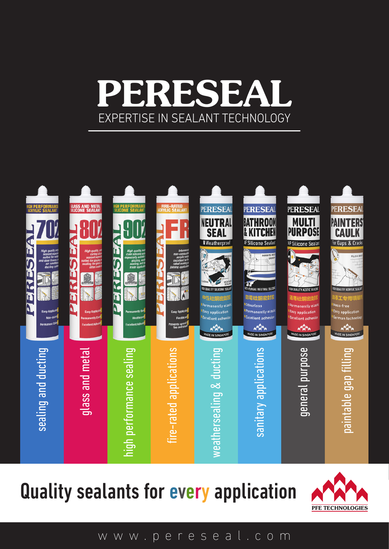## **PERESEA** EXPERTISE IN SEALANT TECHNOLOGY



Quality sealants for every application



www.pereseal.com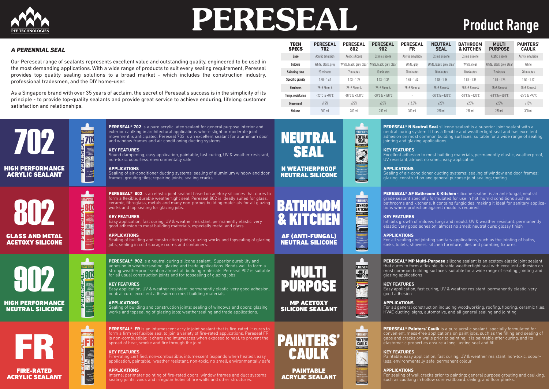

# **PERESEAL** Product Range

**PERESEAL® 702** is a pure acrylic latex sealant for general purpose interior and exterior caulking in architectural applications where slight or moderate joint movement is anticipated. Pereseal 702 is an excellent sealant for aluminium door and window frames and air conditioning ducting systems.

Sound dampening, easy application, paintable, fast curing, UV & weather resistant, non-toxic, odourless, environmentally safe

Sealing of air-conditioner ducting systems; sealing of aluminium window and door frames; grouting tiles; repairing joints; sealing cracks.

**KEY FEATURES**

**APPLICATIONS**

**PERESEAL® 802** is an elastic joint sealant based on acetoxy silicones that cures to form a flexible, durable weathertight seal. Pereseal 802 is ideally suited for glass, ceramic, fibreglass, metals and many non-porous building materials for all glazing works and top sealing for glazing jobs.

702

Sealing of building and construction joints; glazing works and topsealing of glazing jobs; sealing in cold storage rooms and containers

**PERESEAL® 902** is a neutral curing silicone sealant. Superior durability and adhesion in weathersealing, glazing and trade applications. Bonds well to form a strong weatherproof seal on almost all building materials. Pereseal 902 is suitable for all usual construction joints and for topsealing of glazing jobs.

HIGH PERFORMANCE ACRYLIC SEALANT

802

GLASS AND METAL ACETOXY SILICONE

902



**HFR** 

**READER** 

Easy Applies<br>Flash Plash Plash<br>Presents spring<br>Flash plash

 $H$ 

 $\pm 80^\circ$ 

Nigh quality<br>and of the<br>scaling for plant<br>sealing for plat<br>celler mit

O<sub>N</sub>



Sealing of building and construction joints; sealing of windows and doors; glazing works and topsealing of glazing jobs; weathersealing and trade applications.

#### **KEY FEATURES**

Easy application, fast curing, UV & weather resistant, permanently elastic, very good adhesion to most building materials, especially metal and glass

**PERESEAL® FR** is an intumescent acrylic joint sealant that is fire-rated. It cures to form a firm yet flexible seal to join a variety of fire-rated applications. Pereseal FR is non-combustible: it chars and intumesces when exposed to heat, to prevent the spread of heat, smoke and fire through the joint.

#### **APPLICATIONS**

**PERESEAL<sup>®</sup> N Neutral Seal** silicone sealant is a superior joint sealant with a neutral curing system. It has a flexible and weathertight seal and has excellent adhesion on most common building surfaces; suitable for a wide range of sealing, jointing and glazing applications.

Excellent adhesion to most building materials, permanently elastic, weatherproof, UV resistant, almost no smell, easy application

#### **KEY FEATURES**

PERESEAL® AF Bathroom & Kitchen silicone sealant is an anti-fungal, neutral grade sealant specially formulated for use in hot, humid conditions such as bathrooms and kitchens. It contains fungicides, making it ideal for sanitary applications where protection against mould is required.

Easy application, UV & weather resistant, permanently elastic, very good adhesion, neutral cure, excellent adhesion on most building materials

#### **APPLICATIONS**

PERESEAL<sup>®</sup> MP Multi-Purpose silicone sealant is an acetoxy elastic joint sealant that cures to form a flexible, durable weathertight seal with excellent adhesion on most common building surfaces, suitable for a wide range of sealing, jointing and glazing applications.

#### **KEY FEATURES**

PERESEAL<sup>®</sup> Painters' Caulk is a pure acrylic sealant specially formulated for convenient, mess-free applications on paint jobs, such as the filling and sealing of gaps and cracks on walls prior to painting. It is paintable after curing, and its elastomeric properties ensure a long-lasting seal and fill.

**KEY FEATURES** Paintable, easy application, fast curing, UV & weather resistant, non-toxic, odour-<br>less, environmentally safe, permanent colour

Fire-rating certified, non-combustible, intumescent (expands when heated), easy application, paintable, weather resistant, non-toxic, no smell, environmentally safe

#### **APPLICATIONS**

Internal perimeter pointing of fire-rated doors; window frames and duct systems; sealing joints, voids and irregular holes of fire walls and other structures.



 $\sum_{i=1}^n$ 

**KEY FEATURES**

PERESEAL

**NEUTRAL**<br>SEAL

PERESEAL

**BATHROOM** 

FSilicone Seala<br>**Altres Seala** 

**Dige Indiana**<br>Dige Indiana<br>Permanently of<br>Excellent adher<br>Mos is such and

PERESEAL

MULTI<br>PURPOSE

<sup>p</sup> Silicone Seala

**APPLICATIONS**

Sealing of air-conditioner ducting systems; sealing of window and door frames; glazing; construction and general purpose joint sealing; roofing.

**KEY FEATURES** Inhibits growth of mildew, fungi and mould; UV & weather resistant; permanently elastic; very good adhesion; almost no smell; neutral cure; glossy finish

**APPLICATIONS** For all sealing and jointing sanitary applications, such as the jointing of baths, sinks, toilets, showers, kitchen furniture, tiles and plumbing fixtures.

Easy application, fast curing, UV & weather resistant, permanently elastic, very

**KEY FEATURES** good adhesion

**APPLICATIONS** For all general construction including woodworking, roofing, flooring, ceramic tiles, HVAC ducting, signs, automotive, and all general sealing and jointing.

**APPLICATIONS**

For sealing of wall cracks prior to painting; general purpose grouting and caulking, such as caulking in hollow core wallboard, ceiling, and floor planks.



BATHROOM

& KITCHEN



MP ACETOXY SILICONE SEALANT



#### PAINTABLE ACRYLIC SEALANT

NEUTRAL

SEAL

N WEATHERPROOF NEUTRAL SILICONE

| <b>TECH</b><br><b>SPECS</b> | <b>PERESEAL</b><br>702   | <b>PERESEAL</b><br>802    | <b>PERESEAL</b><br>902              | <b>PERESEAL</b><br><b>FR</b> | <b>NEUTRAL</b><br><b>SEAL</b>       | <b>BATHROOM</b><br><b>&amp; KITCHEN</b> | <b>MULTI</b><br><b>PURPOSE</b>      | <b>PAINTERS'</b><br><b>CAULK</b> |
|-----------------------------|--------------------------|---------------------------|-------------------------------------|------------------------------|-------------------------------------|-----------------------------------------|-------------------------------------|----------------------------------|
| <b>Base</b>                 | Acrylic emulsion         | Acetic silicone           | Oxime silicone                      | Acrylic emulsion             | Oxime silicone                      | Oxime silicone                          | Acetic silicone                     | Acrylic emulsion                 |
| <b>Colours</b>              | White, black, grey       | White, black, grey, clear | White, black, grey, clear           | White, grey                  | White, black, grey, clear           | White, clear                            | White, black, grey, clear           | White                            |
| <b>Skinning time</b>        | 20 minutes               | 7 minutes                 | 10 minutes                          | 20 minutes                   | 10 minutes                          | 10 minutes                              | 7 minutes                           | 20 minutes                       |
| <b>Specific gravity</b>     | $1.50 - 1.67$            | $1.03 - 1.25$             | $1.03 - 1.36$                       | $1.60 - 1.64$                | $1.03 - 1.36$                       | $1.03 - 1.36$                           | $1.03 - 1.25$                       | $1.50 - 1.67$                    |
| <b>Hardness</b>             | $25+5$ Shore A           | $25 \pm 5$ Shore A        | $25+5$ Shore A                      | $25+5$ Shore A               | $25+5$ Shore A                      | $28.5 + 5$ Shore A                      | $25+5$ Shore A                      | $25+5$ Shore A                   |
| Temp. resistance            | $-25^{\circ}$ C to +90°C | -60°C to +200°C           | $-50^{\circ}$ C to $+120^{\circ}$ C | $\overline{\phantom{a}}$     | $-50^{\circ}$ C to $+120^{\circ}$ C | $-50^{\circ}$ C to $+120^{\circ}$ C     | $-60^{\circ}$ C to $+200^{\circ}$ C | $-25^{\circ}$ C to +90°C         |
| <b>Movement</b>             | ±15%                     | ±25%                      | ±25%                                | ±12.5%                       | ±25%                                | ±25%                                    | ±25%                                | ±15%                             |
| Volume                      | $300$ ml                 | 280 ml                    | 280 ml                              | $300$ ml                     | 280 ml                              | 280 ml                                  | 280 ml                              | $300$ ml                         |

#### *A PERENNIAL SEAL*

Our Pereseal range of sealants represents excellent value and outstanding quality, engineered to be used in the most demanding applications. With a wide range of products to suit every sealing requirement, Pereseal provides top quality sealing solutions to a broad market - which includes the construction industry, professional tradesmen, and the DIY home-user.

As a Singapore brand with over 35 years of acclaim, the secret of Pereseal's success is in the simplicity of its principle - to provide top-quality sealants and provide great service to achieve enduring, lifelong customer satisfaction and relationships.